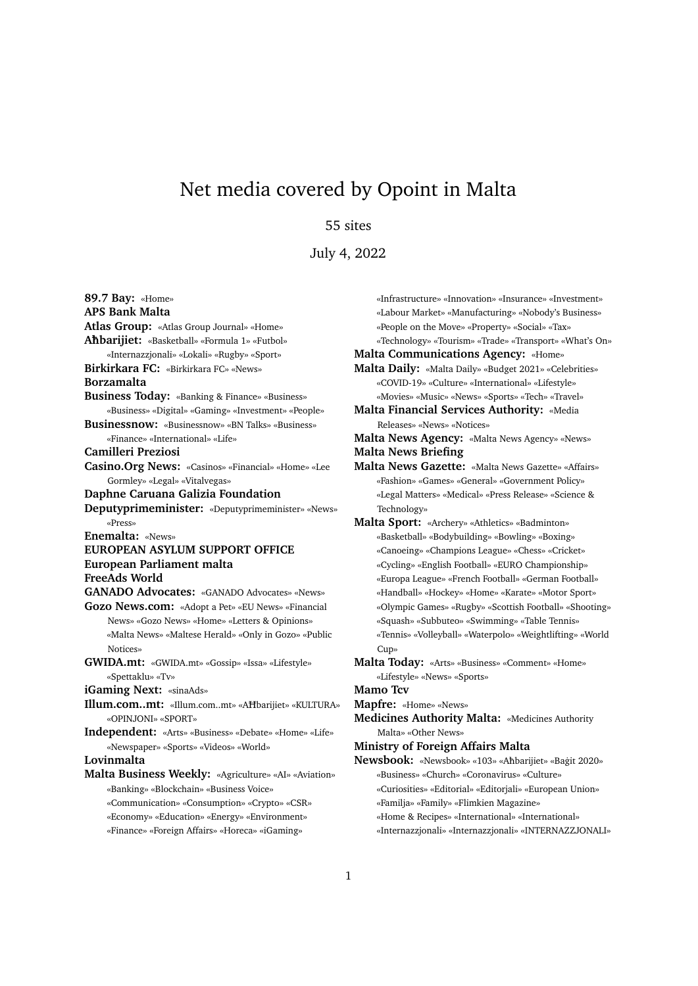## Net media covered by Opoint in Malta

## 55 sites

July 4, 2022

**89.7 Bay:** «Home» **APS Bank Malta Atlas Group:** «Atlas Group Journal» «Home» **A**ħ**barijiet:** «Basketball» «Formula 1» «Futbol» «Internazzjonali» «Lokali» «Rugby» «Sport» **Birkirkara FC:** «Birkirkara FC» «News» **Borzamalta Business Today:** «Banking & Finance» «Business» «Business» «Digital» «Gaming» «Investment» «People» **Businessnow:** «Businessnow» «BN Talks» «Business» «Finance» «International» «Life» **Camilleri Preziosi Casino.Org News:** «Casinos» «Financial» «Home» «Lee Gormley» «Legal» «Vitalvegas» **Daphne Caruana Galizia Foundation Deputyprimeminister:** «Deputyprimeminister» «News» «Press» **Enemalta:** «News» **EUROPEAN ASYLUM SUPPORT OFFICE European Parliament malta FreeAds World GANADO Advocates:** «GANADO Advocates» «News» **Gozo News.com:** «Adopt a Pet» «EU News» «Financial News» «Gozo News» «Home» «Letters & Opinions» «Malta News» «Maltese Herald» «Only in Gozo» «Public Notices» **GWIDA.mt:** «GWIDA.mt» «Gossip» «Issa» «Lifestyle» «Spettaklu» «Tv» **iGaming Next:** «sinaAds» **Illum.com..mt:** «Illum.com..mt» «AĦbarijiet» «KULTURA» «OPINJONI» «SPORT» **Independent:** «Arts» «Business» «Debate» «Home» «Life» «Newspaper» «Sports» «Videos» «World» **Lovinmalta Malta Business Weekly:** «Agriculture» «AI» «Aviation» «Banking» «Blockchain» «Business Voice» «Communication» «Consumption» «Crypto» «CSR» «Economy» «Education» «Energy» «Environment» «Finance» «Foreign Affairs» «Horeca» «iGaming»

«Infrastructure» «Innovation» «Insurance» «Investment» «Labour Market» «Manufacturing» «Nobody's Business» «People on the Move» «Property» «Social» «Tax» «Technology» «Tourism» «Trade» «Transport» «What's On» **Malta Communications Agency:** «Home» **Malta Daily:** «Malta Daily» «Budget 2021» «Celebrities» «COVID-19» «Culture» «International» «Lifestyle» «Movies» «Music» «News» «Sports» «Tech» «Travel» **Malta Financial Services Authority:** «Media Releases» «News» «Notices» **Malta News Agency:** «Malta News Agency» «News» **Malta News Briefing Malta News Gazette:** «Malta News Gazette» «Affairs» «Fashion» «Games» «General» «Government Policy» «Legal Matters» «Medical» «Press Release» «Science & Technology» **Malta Sport:** «Archery» «Athletics» «Badminton» «Basketball» «Bodybuilding» «Bowling» «Boxing» «Canoeing» «Champions League» «Chess» «Cricket» «Cycling» «English Football» «EURO Championship» «Europa League» «French Football» «German Football» «Handball» «Hockey» «Home» «Karate» «Motor Sport» «Olympic Games» «Rugby» «Scottish Football» «Shooting» «Squash» «Subbuteo» «Swimming» «Table Tennis» «Tennis» «Volleyball» «Waterpolo» «Weightlifting» «World Cup» **Malta Today:** «Arts» «Business» «Comment» «Home» «Lifestyle» «News» «Sports» **Mamo Tcv Mapfre:** «Home» «News» **Medicines Authority Malta:** «Medicines Authority Malta» «Other News» **Ministry of Foreign Affairs Malta**

- Newsbook: «Newsbook» «103» «Aħbarijiet» «Baġit 2020» «Business» «Church» «Coronavirus» «Culture» «Curiosities» «Editorial» «Editorjali» «European Union» «Familja» «Family» «Flimkien Magazine» «Home & Recipes» «International» «International»
	- «Internazzjonali» «Internazzjonali» «INTERNAZZJONALI»